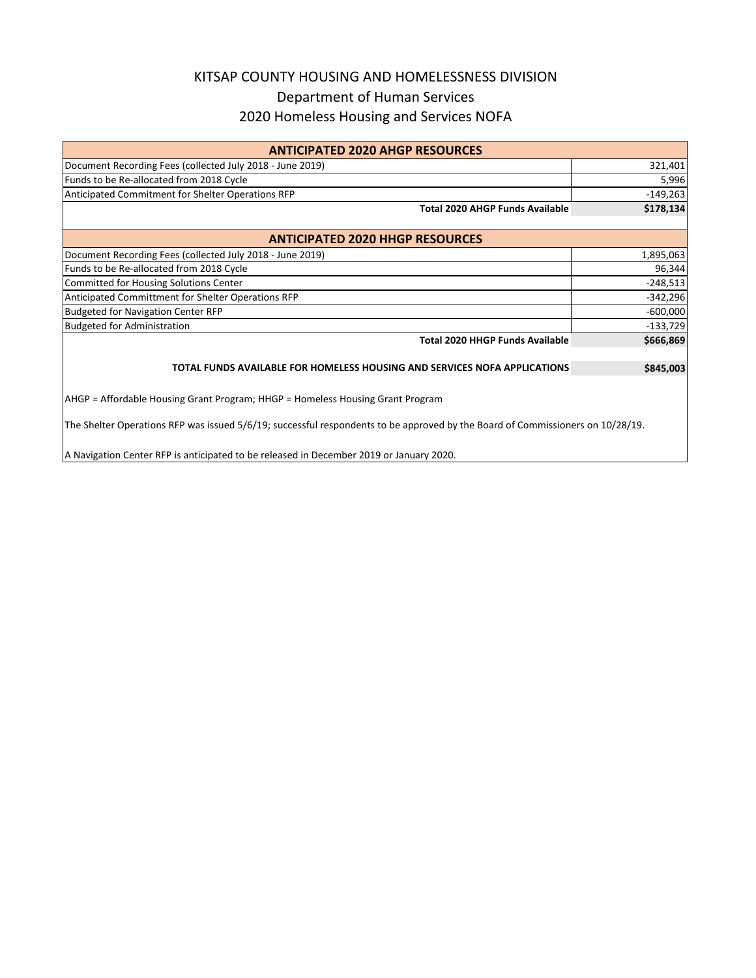## KITSAP COUNTY HOUSING AND HOMELESSNESS DIVISION Department of Human Services 2020 Homeless Housing and Services NOFA

| <b>ANTICIPATED 2020 AHGP RESOURCES</b>                                         |            |  |  |  |  |
|--------------------------------------------------------------------------------|------------|--|--|--|--|
| Document Recording Fees (collected July 2018 - June 2019)                      | 321,401    |  |  |  |  |
| Funds to be Re-allocated from 2018 Cycle                                       | 5,996      |  |  |  |  |
| Anticipated Commitment for Shelter Operations RFP                              | $-149,263$ |  |  |  |  |
| <b>Total 2020 AHGP Funds Available</b>                                         | \$178,134  |  |  |  |  |
| <b>ANTICIPATED 2020 HHGP RESOURCES</b>                                         |            |  |  |  |  |
| Document Recording Fees (collected July 2018 - June 2019)                      | 1,895,063  |  |  |  |  |
| Funds to be Re-allocated from 2018 Cycle                                       | 96,344     |  |  |  |  |
| <b>Committed for Housing Solutions Center</b>                                  | $-248,513$ |  |  |  |  |
| Anticipated Committment for Shelter Operations RFP                             | $-342,296$ |  |  |  |  |
| <b>Budgeted for Navigation Center RFP</b>                                      | $-600,000$ |  |  |  |  |
| <b>Budgeted for Administration</b>                                             | $-133,729$ |  |  |  |  |
| <b>Total 2020 HHGP Funds Available</b>                                         | \$666,869  |  |  |  |  |
| TOTAL FUNDS AVAILABLE FOR HOMELESS HOUSING AND SERVICES NOFA APPLICATIONS      | \$845,003  |  |  |  |  |
| AHGP = Affordable Housing Grant Program; HHGP = Homeless Housing Grant Program |            |  |  |  |  |

The Shelter Operations RFP was issued 5/6/19; successful respondents to be approved by the Board of Commissioners on 10/28/19.

A Navigation Center RFP is anticipated to be released in December 2019 or January 2020.